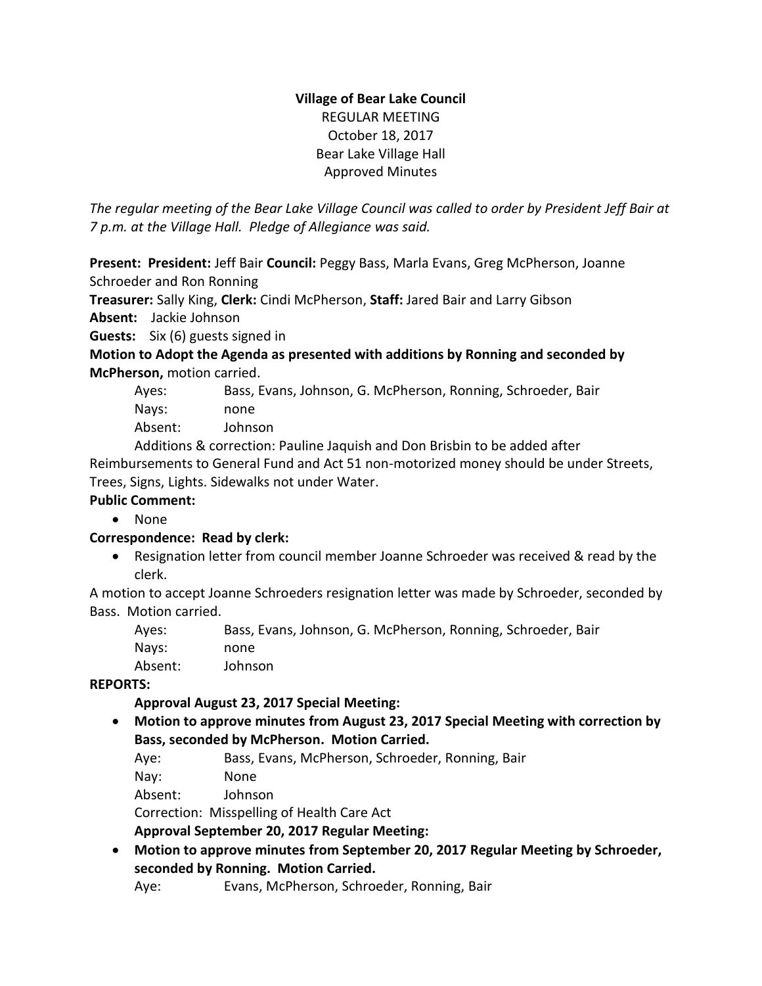## **Village of Bear Lake Council** REGULAR MEETING October 18, 2017 Bear Lake Village Hall Approved Minutes

*The regular meeting of the Bear Lake Village Council was called to order by President Jeff Bair at 7 p.m. at the Village Hall. Pledge of Allegiance was said.*

**Present: President:** Jeff Bair **Council:** Peggy Bass, Marla Evans, Greg McPherson, Joanne Schroeder and Ron Ronning

**Treasurer:** Sally King, **Clerk:** Cindi McPherson, **Staff:** Jared Bair and Larry Gibson

**Absent:** Jackie Johnson

**Guests:** Six (6) guests signed in

**Motion to Adopt the Agenda as presented with additions by Ronning and seconded by McPherson,** motion carried.

| Ayes: | Bass, Evans, Johnson, G. McPherson, Ronning, Schroeder, Bair |
|-------|--------------------------------------------------------------|
| Navs: | none                                                         |
|       |                                                              |

Absent: Johnson

Additions & correction: Pauline Jaquish and Don Brisbin to be added after Reimbursements to General Fund and Act 51 non-motorized money should be under Streets, Trees, Signs, Lights. Sidewalks not under Water.

## **Public Comment:**

None

## **Correspondence: Read by clerk:**

 Resignation letter from council member Joanne Schroeder was received & read by the clerk.

A motion to accept Joanne Schroeders resignation letter was made by Schroeder, seconded by Bass. Motion carried.

| Ayes:   | Bass, Evans, Johnson, G. McPherson, Ronning, Schroeder, Bair |
|---------|--------------------------------------------------------------|
| Nays:   | none                                                         |
| Absent: | Johnson                                                      |

## **REPORTS:**

# **Approval August 23, 2017 Special Meeting:**

 **Motion to approve minutes from August 23, 2017 Special Meeting with correction by Bass, seconded by McPherson. Motion Carried.**

Aye: Bass, Evans, McPherson, Schroeder, Ronning, Bair

Nay: None

Absent: Johnson

Correction: Misspelling of Health Care Act

**Approval September 20, 2017 Regular Meeting:** 

 **Motion to approve minutes from September 20, 2017 Regular Meeting by Schroeder, seconded by Ronning. Motion Carried.**

Aye: Evans, McPherson, Schroeder, Ronning, Bair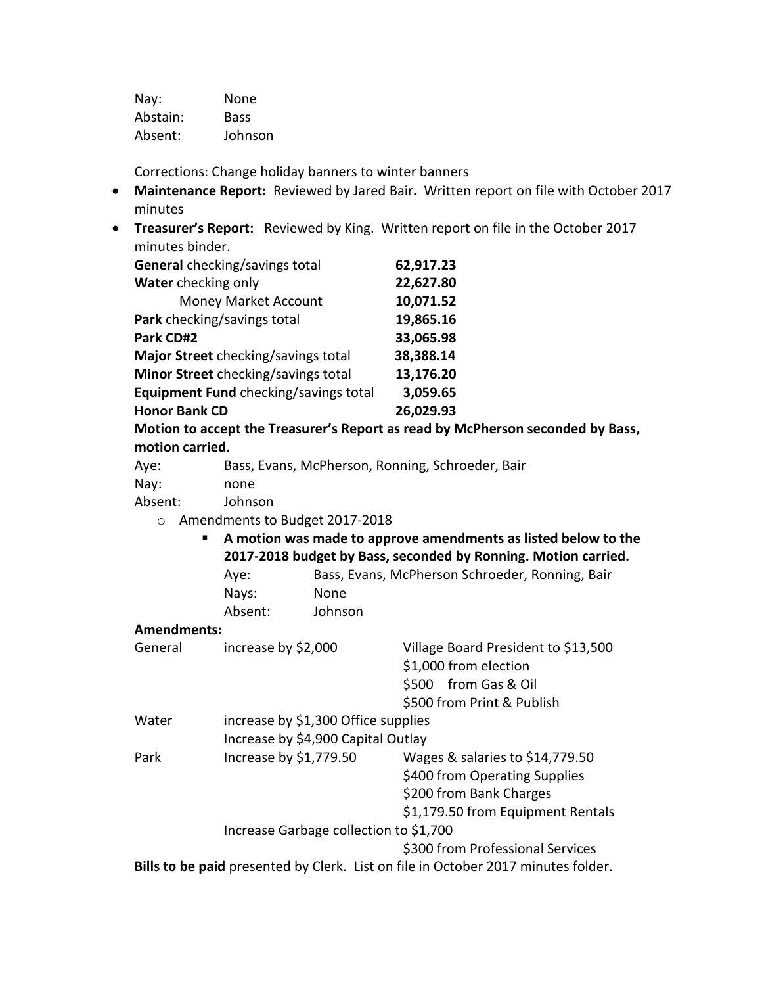| Nay:     | None        |
|----------|-------------|
| Abstain: | <b>Bass</b> |
| Absent:  | Johnson     |

Corrections: Change holiday banners to winter banners

- **Maintenance Report:** Reviewed by Jared Bair**.** Written report on file with October 2017 minutes
- **Treasurer's Report:** Reviewed by King. Written report on file in the October 2017 minutes binder.

| General checking/savings total        | 62,917.23 |
|---------------------------------------|-----------|
| Water checking only                   | 22,627.80 |
| <b>Money Market Account</b>           | 10,071.52 |
| Park checking/savings total           | 19,865.16 |
| Park CD#2                             | 33,065.98 |
| Major Street checking/savings total   | 38,388.14 |
| Minor Street checking/savings total   | 13,176.20 |
| Equipment Fund checking/savings total | 3,059.65  |
| <b>Honor Bank CD</b>                  | 26,029.93 |
|                                       |           |

**Motion to accept the Treasurer's Report as read by McPherson seconded by Bass, motion carried.**

| Aye: | Bass, Evans, McPherson, Ronning, Schroeder, Bair |
|------|--------------------------------------------------|
|------|--------------------------------------------------|

| Nay: | none |
|------|------|
|------|------|

Absent: Johnson

o Amendments to Budget 2017-2018

 **A motion was made to approve amendments as listed below to the 2017-2018 budget by Bass, seconded by Ronning. Motion carried.** Aye: Bass, Evans, McPherson Schroeder, Ronning, Bair

| Ave.    | Bass, Evans, McPherson Schroeder, R |  |
|---------|-------------------------------------|--|
| Nays:   | None.                               |  |
| Absent: | Johnson                             |  |

#### **Amendments:**

| General | increase by \$2,000                    | Village Board President to \$13,500<br>\$1,000 from election                      |
|---------|----------------------------------------|-----------------------------------------------------------------------------------|
|         |                                        | \$500 from Gas & Oil                                                              |
|         |                                        | \$500 from Print & Publish                                                        |
| Water   | increase by \$1,300 Office supplies    |                                                                                   |
|         | Increase by \$4,900 Capital Outlay     |                                                                                   |
| Park    | Increase by \$1,779.50                 | Wages & salaries to \$14,779.50                                                   |
|         |                                        | \$400 from Operating Supplies                                                     |
|         |                                        | \$200 from Bank Charges                                                           |
|         |                                        | \$1,179.50 from Equipment Rentals                                                 |
|         | Increase Garbage collection to \$1,700 |                                                                                   |
|         |                                        | \$300 from Professional Services                                                  |
|         |                                        | Bills to be paid presented by Clerk. List on file in October 2017 minutes folder. |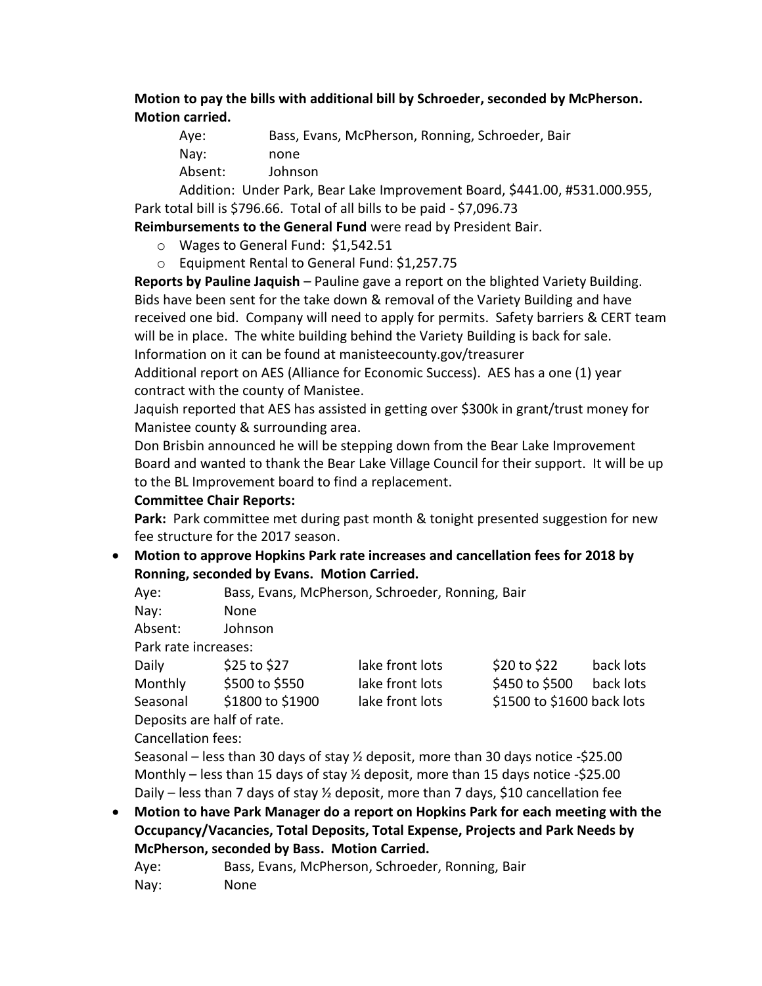**Motion to pay the bills with additional bill by Schroeder, seconded by McPherson. Motion carried.**

| Aye:    | Bass, Evans, McPherson, Ronning, Schroeder, Bair |
|---------|--------------------------------------------------|
| Nay:    | none                                             |
| Absent: | Johnson                                          |
|         |                                                  |

Addition: Under Park, Bear Lake Improvement Board, \$441.00, #531.000.955, Park total bill is \$796.66. Total of all bills to be paid - \$7,096.73

**Reimbursements to the General Fund** were read by President Bair.

- o Wages to General Fund: \$1,542.51
- o Equipment Rental to General Fund: \$1,257.75

**Reports by Pauline Jaquish** – Pauline gave a report on the blighted Variety Building. Bids have been sent for the take down & removal of the Variety Building and have received one bid. Company will need to apply for permits. Safety barriers & CERT team will be in place. The white building behind the Variety Building is back for sale. Information on it can be found at manisteecounty.gov/treasurer

Additional report on AES (Alliance for Economic Success). AES has a one (1) year contract with the county of Manistee.

Jaquish reported that AES has assisted in getting over \$300k in grant/trust money for Manistee county & surrounding area.

Don Brisbin announced he will be stepping down from the Bear Lake Improvement Board and wanted to thank the Bear Lake Village Council for their support. It will be up to the BL Improvement board to find a replacement.

#### **Committee Chair Reports:**

Park: Park committee met during past month & tonight presented suggestion for new fee structure for the 2017 season.

## **Motion to approve Hopkins Park rate increases and cancellation fees for 2018 by Ronning, seconded by Evans. Motion Carried.**

Aye: Bass, Evans, McPherson, Schroeder, Ronning, Bair

Nay: None

Absent: Johnson

Park rate increases:

Daily 525 to \$27 lake front lots \$20 to \$22 back lots Monthly \$500 to \$550 lake front lots \$450 to \$500 back lots Seasonal \$1800 to \$1900 lake front lots \$1500 to \$1600 back lots

Deposits are half of rate.

Cancellation fees:

Seasonal – less than 30 days of stay ½ deposit, more than 30 days notice -\$25.00 Monthly – less than 15 days of stay  $\frac{1}{2}$  deposit, more than 15 days notice -\$25.00 Daily – less than 7 days of stay  $\frac{1}{2}$  deposit, more than 7 days, \$10 cancellation fee

 **Motion to have Park Manager do a report on Hopkins Park for each meeting with the Occupancy/Vacancies, Total Deposits, Total Expense, Projects and Park Needs by McPherson, seconded by Bass. Motion Carried.**

Aye: Bass, Evans, McPherson, Schroeder, Ronning, Bair Nay: None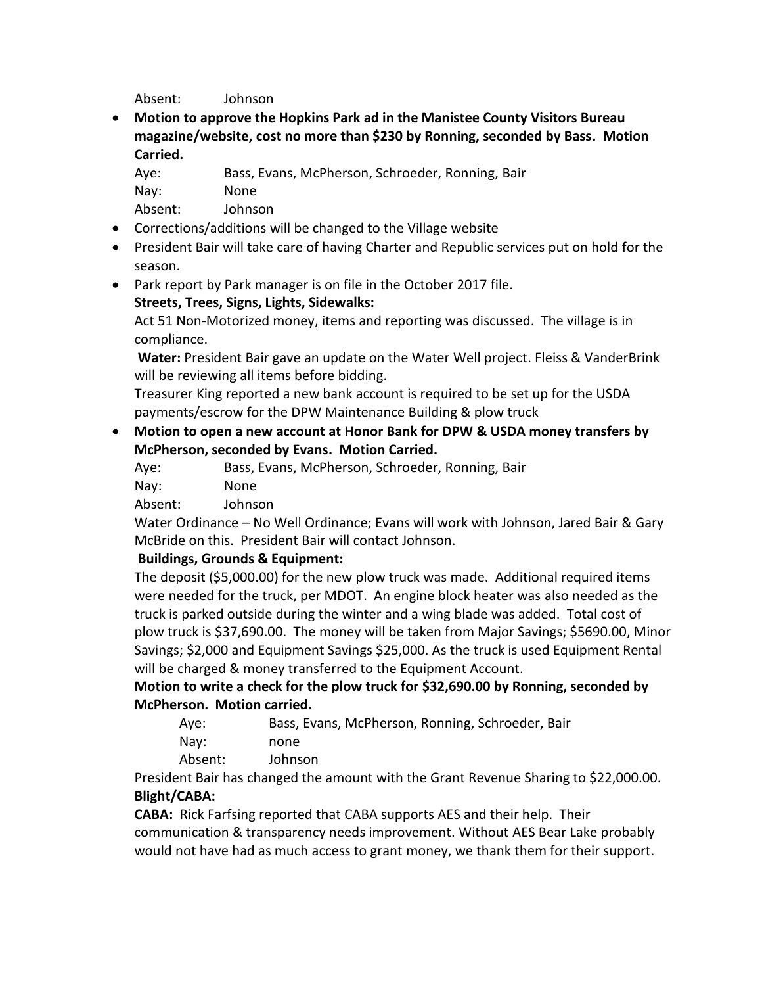Absent: Johnson

 **Motion to approve the Hopkins Park ad in the Manistee County Visitors Bureau magazine/website, cost no more than \$230 by Ronning, seconded by Bass. Motion Carried.**

| Aye:    | Bass, Evans, McPherson, Schroeder, Ronning, Bair |
|---------|--------------------------------------------------|
| Nay:    | None.                                            |
| Absent: | Johnson                                          |

- Corrections/additions will be changed to the Village website
- President Bair will take care of having Charter and Republic services put on hold for the season.
- Park report by Park manager is on file in the October 2017 file. **Streets, Trees, Signs, Lights, Sidewalks:**

Act 51 Non-Motorized money, items and reporting was discussed. The village is in compliance.

**Water:** President Bair gave an update on the Water Well project. Fleiss & VanderBrink will be reviewing all items before bidding.

Treasurer King reported a new bank account is required to be set up for the USDA payments/escrow for the DPW Maintenance Building & plow truck

 **Motion to open a new account at Honor Bank for DPW & USDA money transfers by McPherson, seconded by Evans. Motion Carried.**

Aye: Bass, Evans, McPherson, Schroeder, Ronning, Bair

Nay: None

Absent: Johnson

Water Ordinance – No Well Ordinance; Evans will work with Johnson, Jared Bair & Gary McBride on this. President Bair will contact Johnson.

## **Buildings, Grounds & Equipment:**

The deposit (\$5,000.00) for the new plow truck was made. Additional required items were needed for the truck, per MDOT. An engine block heater was also needed as the truck is parked outside during the winter and a wing blade was added. Total cost of plow truck is \$37,690.00. The money will be taken from Major Savings; \$5690.00, Minor Savings; \$2,000 and Equipment Savings \$25,000. As the truck is used Equipment Rental will be charged & money transferred to the Equipment Account.

**Motion to write a check for the plow truck for \$32,690.00 by Ronning, seconded by McPherson. Motion carried.**

| Aye:     | Bass, Evans, McPherson, Ronning, Schroeder, Bair |
|----------|--------------------------------------------------|
| Nay:     | none                                             |
| Alexandr | .                                                |

Absent: Johnson President Bair has changed the amount with the Grant Revenue Sharing to \$22,000.00.

# **Blight/CABA:**

**CABA:** Rick Farfsing reported that CABA supports AES and their help. Their communication & transparency needs improvement. Without AES Bear Lake probably would not have had as much access to grant money, we thank them for their support.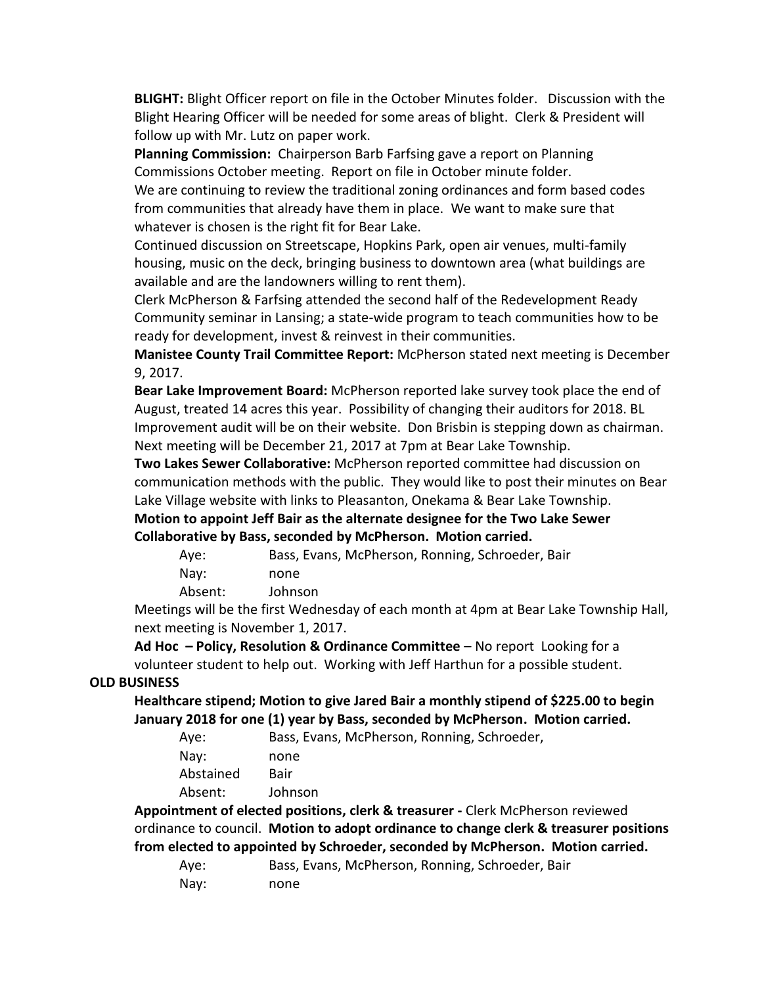**BLIGHT:** Blight Officer report on file in the October Minutes folder. Discussion with the Blight Hearing Officer will be needed for some areas of blight. Clerk & President will follow up with Mr. Lutz on paper work.

**Planning Commission:** Chairperson Barb Farfsing gave a report on Planning Commissions October meeting. Report on file in October minute folder. We are continuing to review the traditional zoning ordinances and form based codes from communities that already have them in place. We want to make sure that whatever is chosen is the right fit for Bear Lake.

Continued discussion on Streetscape, Hopkins Park, open air venues, multi-family housing, music on the deck, bringing business to downtown area (what buildings are available and are the landowners willing to rent them).

Clerk McPherson & Farfsing attended the second half of the Redevelopment Ready Community seminar in Lansing; a state-wide program to teach communities how to be ready for development, invest & reinvest in their communities.

**Manistee County Trail Committee Report:** McPherson stated next meeting is December 9, 2017.

**Bear Lake Improvement Board:** McPherson reported lake survey took place the end of August, treated 14 acres this year. Possibility of changing their auditors for 2018. BL Improvement audit will be on their website. Don Brisbin is stepping down as chairman. Next meeting will be December 21, 2017 at 7pm at Bear Lake Township.

**Two Lakes Sewer Collaborative:** McPherson reported committee had discussion on communication methods with the public. They would like to post their minutes on Bear Lake Village website with links to Pleasanton, Onekama & Bear Lake Township.

**Motion to appoint Jeff Bair as the alternate designee for the Two Lake Sewer Collaborative by Bass, seconded by McPherson. Motion carried.**

| Aye: | Bass, Evans, McPherson, Ronning, Schroeder, Bair |
|------|--------------------------------------------------|
| Nay: | none                                             |

Absent: Johnson

Meetings will be the first Wednesday of each month at 4pm at Bear Lake Township Hall, next meeting is November 1, 2017.

**Ad Hoc – Policy, Resolution & Ordinance Committee** – No report Looking for a volunteer student to help out. Working with Jeff Harthun for a possible student.

#### **OLD BUSINESS**

**Healthcare stipend; Motion to give Jared Bair a monthly stipend of \$225.00 to begin January 2018 for one (1) year by Bass, seconded by McPherson. Motion carried.**

| Aye:      | Bass, Evans, McPherson, Ronning, Schroeder, |
|-----------|---------------------------------------------|
| Nay:      | none                                        |
| Abstained | Bair                                        |
| Absent:   | Johnson                                     |
|           |                                             |

**Appointment of elected positions, clerk & treasurer -** Clerk McPherson reviewed ordinance to council. **Motion to adopt ordinance to change clerk & treasurer positions from elected to appointed by Schroeder, seconded by McPherson. Motion carried.**

| Aye: | Bass, Evans, McPherson, Ronning, Schroeder, Bair |
|------|--------------------------------------------------|
| Nay: | none                                             |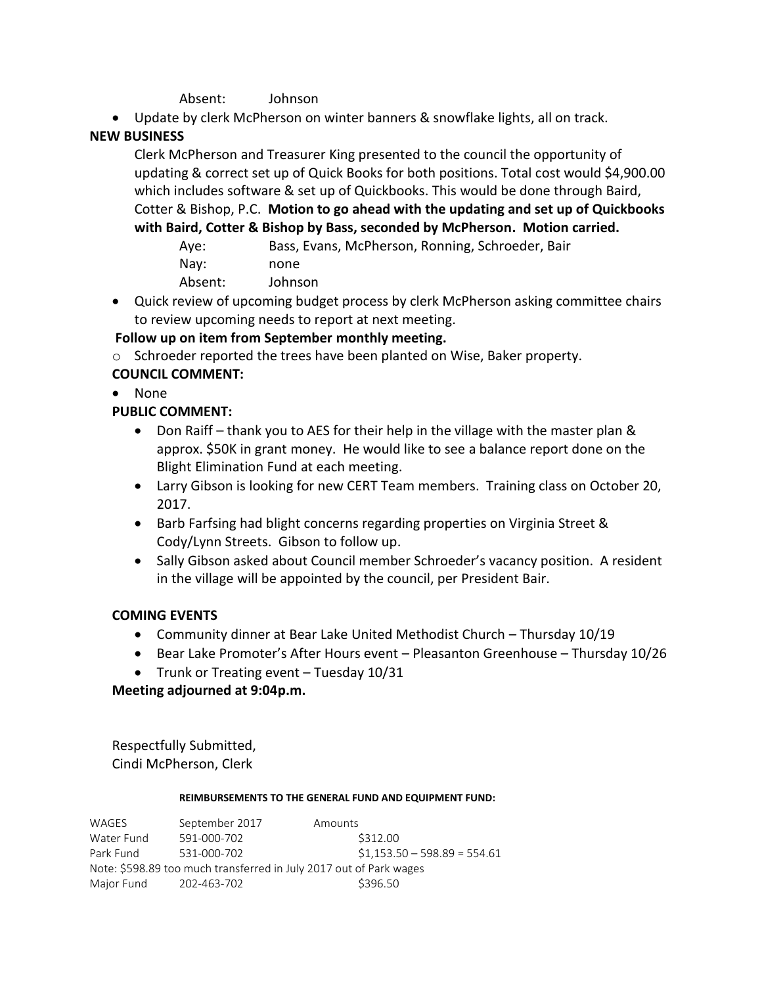#### Absent: Johnson

Update by clerk McPherson on winter banners & snowflake lights, all on track.

## **NEW BUSINESS**

Clerk McPherson and Treasurer King presented to the council the opportunity of updating & correct set up of Quick Books for both positions. Total cost would \$4,900.00 which includes software & set up of Quickbooks. This would be done through Baird, Cotter & Bishop, P.C. **Motion to go ahead with the updating and set up of Quickbooks with Baird, Cotter & Bishop by Bass, seconded by McPherson. Motion carried.**

Aye: Bass, Evans, McPherson, Ronning, Schroeder, Bair Nay: none Absent: Johnson

 Quick review of upcoming budget process by clerk McPherson asking committee chairs to review upcoming needs to report at next meeting.

## **Follow up on item from September monthly meeting.**

- o Schroeder reported the trees have been planted on Wise, Baker property. **COUNCIL COMMENT:**
- None

## **PUBLIC COMMENT:**

- Don Raiff thank you to AES for their help in the village with the master plan & approx. \$50K in grant money. He would like to see a balance report done on the Blight Elimination Fund at each meeting.
- Larry Gibson is looking for new CERT Team members. Training class on October 20, 2017.
- Barb Farfsing had blight concerns regarding properties on Virginia Street & Cody/Lynn Streets. Gibson to follow up.
- Sally Gibson asked about Council member Schroeder's vacancy position. A resident in the village will be appointed by the council, per President Bair.

## **COMING EVENTS**

- Community dinner at Bear Lake United Methodist Church Thursday 10/19
- Bear Lake Promoter's After Hours event Pleasanton Greenhouse Thursday 10/26
- Trunk or Treating event Tuesday 10/31

## **Meeting adjourned at 9:04p.m.**

Respectfully Submitted, Cindi McPherson, Clerk

#### **REIMBURSEMENTS TO THE GENERAL FUND AND EQUIPMENT FUND:**

WAGES September 2017 Amounts Water Fund 591-000-702 \$312.00 Park Fund 531-000-702 \$1,153.50 – 598.89 = 554.61 Note: \$598.89 too much transferred in July 2017 out of Park wages Major Fund 202-463-702 \$396.50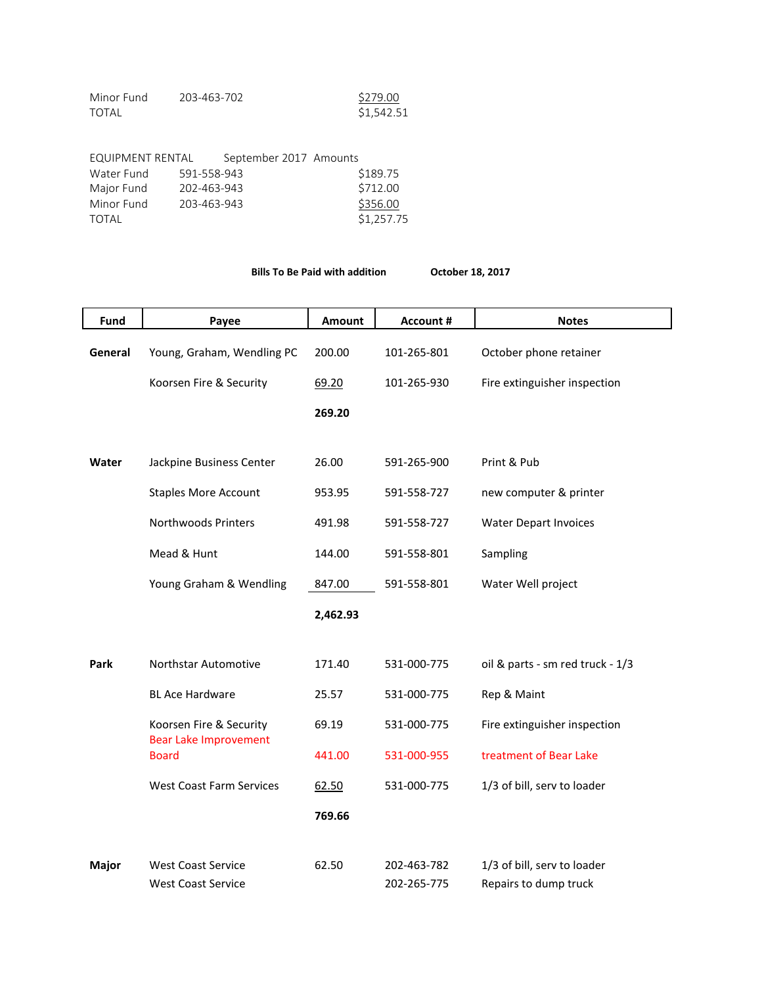| Minor Fund | 203-463-702 | \$279.00   |
|------------|-------------|------------|
| TOTAL      |             | \$1,542.51 |

| EQUIPMENT RENTAL |             | September 2017 Amounts |            |
|------------------|-------------|------------------------|------------|
| Water Fund       | 591-558-943 |                        | \$189.75   |
| Major Fund       | 202-463-943 |                        | \$712.00   |
| Minor Fund       | 203-463-943 |                        | \$356.00   |
| TOTAL            |             |                        | \$1,257.75 |

**Bills To Be Paid with addition October 18, 2017**

| Fund    | Payee                                                   | Amount   | <b>Account #</b>           | <b>Notes</b>                                         |
|---------|---------------------------------------------------------|----------|----------------------------|------------------------------------------------------|
| General | Young, Graham, Wendling PC                              | 200.00   | 101-265-801                | October phone retainer                               |
|         | Koorsen Fire & Security                                 | 69.20    | 101-265-930                | Fire extinguisher inspection                         |
|         |                                                         | 269.20   |                            |                                                      |
| Water   | Jackpine Business Center                                | 26.00    | 591-265-900                | Print & Pub                                          |
|         | <b>Staples More Account</b>                             | 953.95   | 591-558-727                | new computer & printer                               |
|         | <b>Northwoods Printers</b>                              | 491.98   | 591-558-727                | <b>Water Depart Invoices</b>                         |
|         | Mead & Hunt                                             | 144.00   | 591-558-801                | Sampling                                             |
|         | Young Graham & Wendling                                 | 847.00   | 591-558-801                | Water Well project                                   |
|         |                                                         | 2,462.93 |                            |                                                      |
| Park    | Northstar Automotive                                    | 171.40   | 531-000-775                | oil & parts - sm red truck - 1/3                     |
|         | <b>BL Ace Hardware</b>                                  | 25.57    | 531-000-775                | Rep & Maint                                          |
|         | Koorsen Fire & Security<br><b>Bear Lake Improvement</b> | 69.19    | 531-000-775                | Fire extinguisher inspection                         |
|         | <b>Board</b>                                            | 441.00   | 531-000-955                | treatment of Bear Lake                               |
|         | <b>West Coast Farm Services</b>                         | 62.50    | 531-000-775                | 1/3 of bill, serv to loader                          |
|         |                                                         | 769.66   |                            |                                                      |
| Major   | <b>West Coast Service</b><br><b>West Coast Service</b>  | 62.50    | 202-463-782<br>202-265-775 | 1/3 of bill, serv to loader<br>Repairs to dump truck |